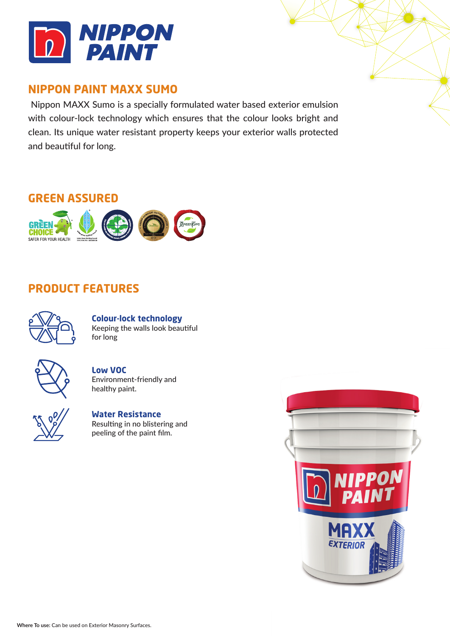

## **NIPPON PAINT MAXX SUMO**

 Nippon MAXX Sumo is a specially formulated water based exterior emulsion with colour-lock technology which ensures that the colour looks bright and clean. Its unique water resistant property keeps your exterior walls protected and beautiful for long.

# **GREEN ASSURED**



## **PRODUCT FEATURES**



**Colour-lock technology** Keeping the walls look beautiful for long



### **Low VOC** Environment-friendly and healthy paint.



**Water Resistance** Resulting in no blistering and peeling of the paint film.